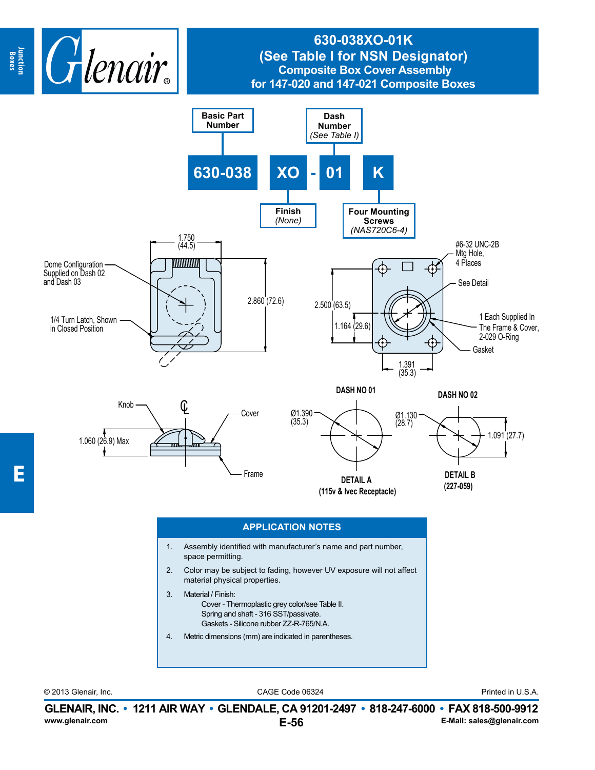

## **630-038XO-01K (See Table I for NSN Designator) Composite Box Cover Assembly for 147-020 and 147-021 Composite Boxes**



- 3. Material / Finish: Cover - Thermoplastic grey color/see Table II. Spring and shaft - 316 SST/passivate. Gaskets - Silicone rubber ZZ-R-765/N.A.
- 4. Metric dimensions (mm) are indicated in parentheses.

CAGE Code 06324 © 2013 Glenair, Inc. Printed in U.S.A.